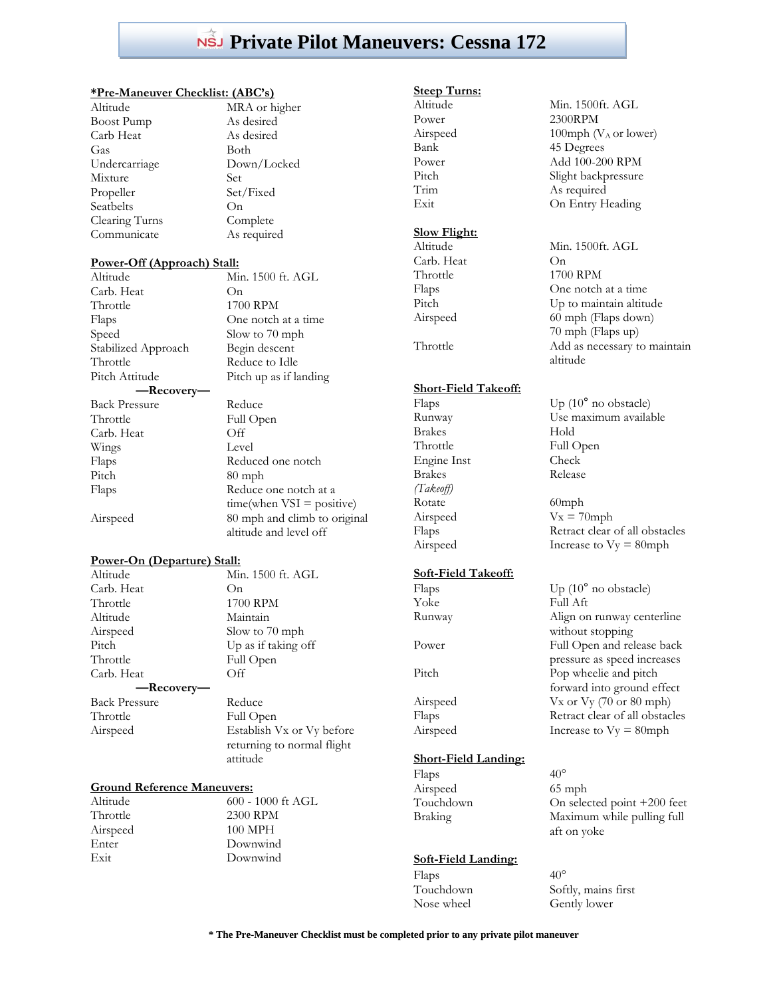## **Private Pilot Maneuvers: Cessna 172**

#### **\*Pre-Maneuver Checklist: (ABC's)**

| Altitude          | МR              |
|-------------------|-----------------|
| <b>Boost Pump</b> | As              |
| Carb Heat         | As              |
| Gas               | <b>B</b> ot     |
| Undercarriage     | Do              |
| Mixture           | Set             |
| Propeller         | Set             |
| Seatbelts         | On              |
| Clearing Turns    | Co <sub>1</sub> |
| Communicate       | As              |

MRA or higher As desired As desired **Both** Down/Locked Set/Fixed Complete As required

#### **Power-Off (Approach) Stall:**  $\overline{M}$  1500 ft. AGL

| TVHIL TOURT IL AVTL          |
|------------------------------|
| O <sub>n</sub>               |
| 1700 RPM                     |
| One notch at a time          |
| Slow to 70 mph               |
| Begin descent                |
| Reduce to Idle               |
| Pitch up as if landing       |
|                              |
| Reduce                       |
| Full Open                    |
| Off                          |
| Level                        |
| Reduced one notch            |
| $80$ mph                     |
| Reduce one notch at a        |
| $time(when VSI = positive)$  |
| 80 mph and climb to original |
| altitude and level off       |
|                              |

#### **Power-On (Departure) Stall:**

Carb. Heat On Throttle 1700 RPM Altitude Maintain Airspeed Slow to 70 mph Pitch Up as if taking off Throttle Full Open Carb. Heat Off **—Recovery—** Back Pressure Reduce Throttle Full Open

Altitude Min. 1500 ft. AGL

Airspeed Establish Vx or Vy before returning to normal flight attitude

#### **Ground Reference Maneuvers:**

Altitude 600 - 1000 ft AGL Throttle 2300 RPM Airspeed 100 MPH Enter Downwind Exit Downwind

# **Steep Turns:**

Power 2300RPM

## **Slow Flight:**

Carb. Heat On

### **Short-Field Takeoff:**

Brakes Hold Throttle Full Open Engine Inst Check Brakes Release *(Takeoff)* Rotate 60mph

#### **Soft-Field Takeoff:**

Flaps  $Up(10^{\circ} \text{ no obstacle})$ Yoke Full Aft Runway Align on runway centerline Power Full Open and release back Pitch Pop wheelie and pitch Airspeed Vx or Vy (70 or 80 mph) Flaps Retract clear of all obstacles Airspeed Increase to  $Vy = 80$ mph

## **Short-Field Landing:**

Flaps  $40^{\circ}$ Airspeed 65 mph<br>Touchdown On selec

## **Soft-Field Landing:**

Flaps  $40^{\circ}$ Nose wheel Gently lower

Min. 1500ft. AGL Airspeed  $100 \text{ mph} (V_A \text{ or lower})$ Bank 45 Degrees Power Add 100-200 RPM Pitch Slight backpressure Trim As required Exit On Entry Heading

Altitude Min. 1500ft. AGL Throttle 1700 RPM Flaps One notch at a time Pitch Up to maintain altitude Airspeed 60 mph (Flaps down) 70 mph (Flaps up) Throttle Add as necessary to maintain altitude

Flaps Up (10<sup>°</sup> no obstacle) Runway Use maximum available

Airspeed  $Vx = 70$ mph Flaps Retract clear of all obstacles Airspeed Increase to  $Vy = 80$ mph

> without stopping pressure as speed increases forward into ground effect

## On selected point  $+200$  feet Braking Maximum while pulling full aft on yoke

Touchdown Softly, mains first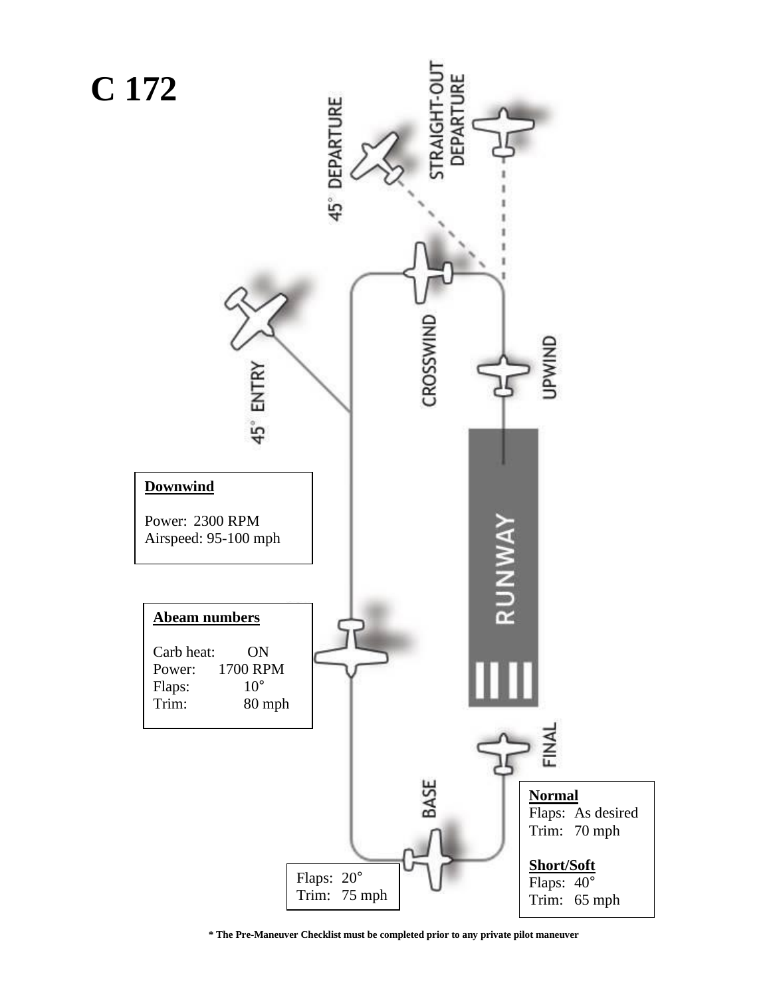

**\* The Pre-Maneuver Checklist must be completed prior to any private pilot maneuver**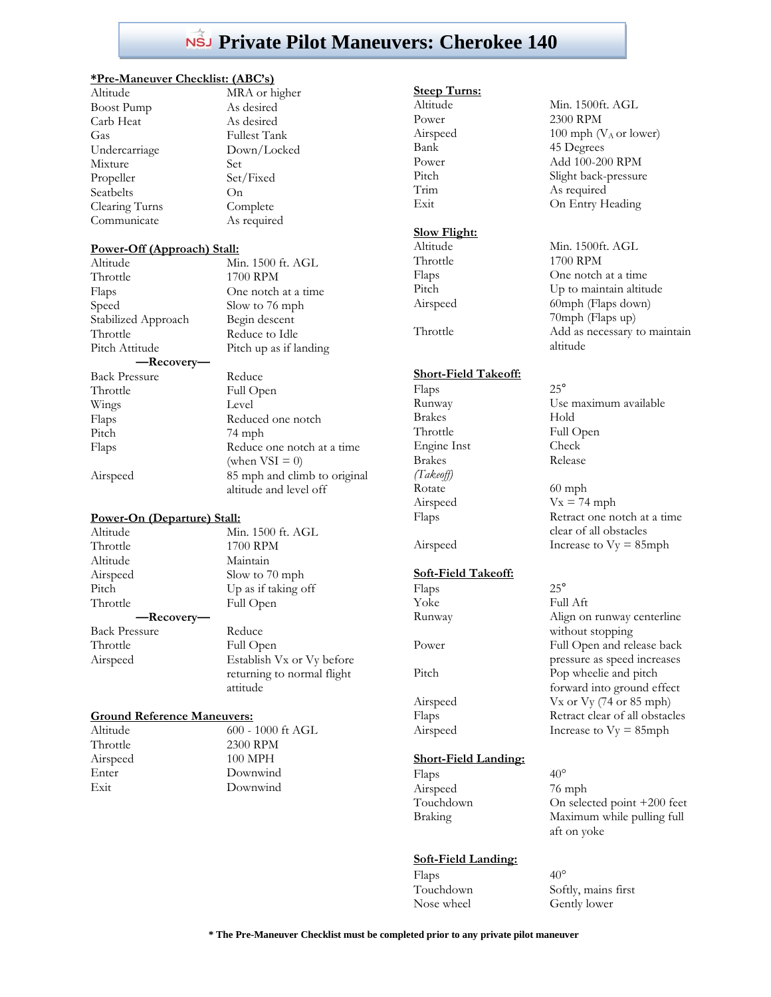## **Private Pilot Maneuvers: Cherokee 140**

#### **\*Pre-Maneuver Checklist: (ABC's)**

| Altıtude          | МB              |
|-------------------|-----------------|
| <b>Boost Pump</b> | As              |
| Carb Heat         | As              |
| Gas               | Ful             |
| Undercarriage     | Do              |
| Mixture           | Set             |
| Propeller         | Set             |
| Seatbelts         | On              |
| Clearing Turns    | Co <sub>1</sub> |
| Communicate       | As              |
|                   |                 |

As desired As desired Fullest Tank Down/Locked Set/Fixed Complete As required

MRA or higher

#### **Power-Off (Approach) Stall:**

Min. 1500 ft. AGL 1700 RPM One notch at a time Slow to 76 mph Begin descent Reduce to Idle Pitch up as if landing Reduce Full Open Level Reduced one notch 74 mph Reduce one notch at a time (when  $VSI = 0$ ) 85 mph and climb to original

altitude and level off

#### **Power-On (Departure) Stall:**

| Altitude             | Min. 1500 ft. AGL          |
|----------------------|----------------------------|
| Throttle             | 1700 RPM                   |
| Altitude             | Maintain                   |
| Airspeed             | Slow to 70 mph             |
| Pitch                | Up as if taking off        |
| Throttle             | Full Open                  |
| —Recovery—           |                            |
| <b>Back Pressure</b> | Reduce                     |
| Throttle             | Full Open                  |
| Airspeed             | Establish Vx or Vy before  |
|                      | returning to normal flight |
|                      | attitude                   |

#### **Ground Reference Maneuvers:**

| Altitude |  |
|----------|--|
| Throttle |  |
| Airspeed |  |
| Enter    |  |
| Exit     |  |
|          |  |

 $600$  -  $1000$  ft AGL 2300 RPM 100 MPH Downwind Downwind

## **Steep Turns:**

| Altitude                    | Mir          |
|-----------------------------|--------------|
| Power                       | 230          |
| Airspeed                    | 100          |
| Bank                        | 45           |
| Power                       | Ad           |
| Pitch                       | Slig         |
| Trim                        | As           |
| Exit                        | On           |
| <b>Slow Flight:</b>         |              |
| Altitude                    | Mir          |
| Throttle                    | 170          |
| Flaps                       | On           |
| Pitch                       | Up           |
| Airspeed                    | 60n          |
|                             | 70n          |
| Throttle                    | Ad           |
|                             | alti         |
| <b>Short-Field Takeoff:</b> |              |
| Flaps                       | $25^{\circ}$ |
| Runway                      | Use          |

Brakes Hold Throttle Full Open Engine Inst Check Brakes Release *(Takeoff)* Rotate 60 mph Airspeed  $Vx = 74$  mph **Soft-Field Takeoff:** Flaps 25<sup>°</sup> Yoke Full Aft

Min. 1500ft. AGL 2300 RPM 100 mph ( $V_A$  or lower) 45 Degrees Add 100-200 RPM Slight back-pressure As required On Entry Heading

Min. 1500ft. AGL 1700 RPM One notch at a time Up to maintain altitude 60mph (Flaps down) 70mph (Flaps up) Add as necessary to maintain altitude

Use maximum available Flaps Retract one notch at a time clear of all obstacles

Airspeed Increase to  $V_y = 85$ mph

Runway Align on runway centerline without stopping Power Full Open and release back pressure as speed increases Pitch Pop wheelie and pitch forward into ground effect Airspeed Vx or Vy (74 or 85 mph) Flaps Retract clear of all obstacles Airspeed Increase to  $V_y = 85$ mph

## **Short-Field Landing:**

| Flaps          | $40^{\circ}$                |
|----------------|-----------------------------|
| Airspeed       | 76 mph                      |
| Touchdown      | On selected point +200 feet |
| <b>Braking</b> | Maximum while pulling full  |
|                | aft on yoke                 |

### **Soft-Field Landing:**

Flaps  $40^{\circ}$ Touchdown Softly, mains first Nose wheel Gently lower